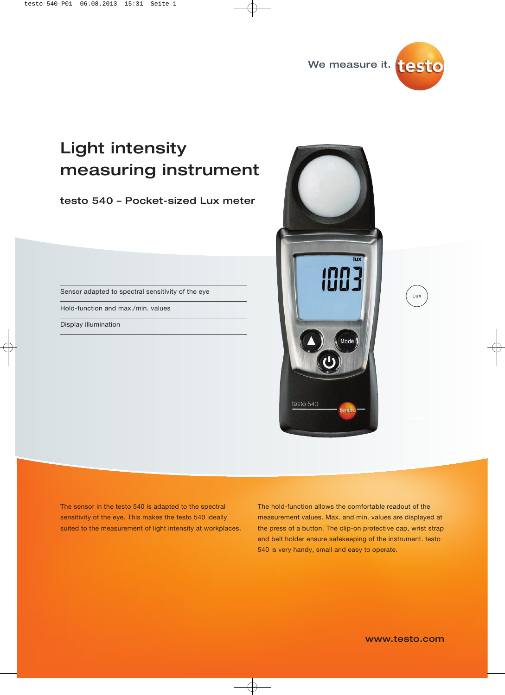

## Light intensity measuring instrument

testo 540 – Pocket-sized Lux meter

Sensor adapted to spectral sensitivity of the eye

Hold-function and max./min. values

Display illumination



The sensor in the testo 540 is adapted to the spectral sensitivity of the eye. This makes the testo 540 ideally suited to the measurement of light intensity at workplaces. The hold-function allows the comfortable readout of the measurement values. Max. and min. values are displayed at the press of a button. The clip-on protective cap, wrist strap and belt holder ensure safekeeping of the instrument. testo 540 is very handy, small and easy to operate.